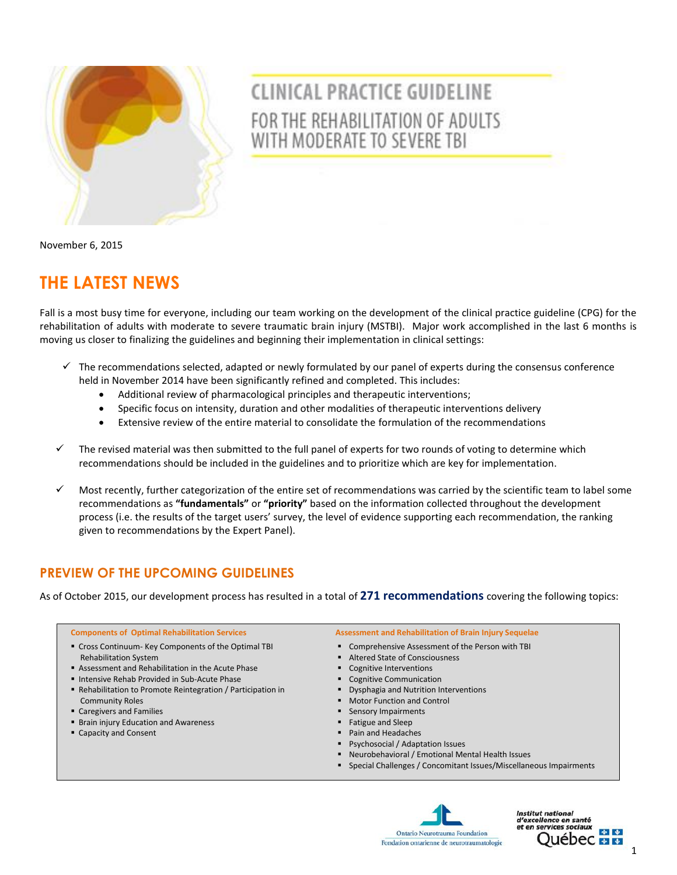

# CLINICAL PRACTICE GUIDELINE FOR THE REHABILITATION OF ADULTS WITH MODERATE TO SEVERE TBI

November 6, 2015

## **THE LATEST NEWS**

Fall is a most busy time for everyone, including our team working on the development of the clinical practice guideline (CPG) for the rehabilitation of adults with moderate to severe traumatic brain injury (MSTBI). Major work accomplished in the last 6 months is moving us closer to finalizing the guidelines and beginning their implementation in clinical settings:

- $\checkmark$  The recommendations selected, adapted or newly formulated by our panel of experts during the consensus conference held in November 2014 have been significantly refined and completed. This includes:
	- Additional review of pharmacological principles and therapeutic interventions;
	- Specific focus on intensity, duration and other modalities of therapeutic interventions delivery
	- Extensive review of the entire material to consolidate the formulation of the recommendations
- $\checkmark$  The revised material was then submitted to the full panel of experts for two rounds of voting to determine which recommendations should be included in the guidelines and to prioritize which are key for implementation.
- $\checkmark$  Most recently, further categorization of the entire set of recommendations was carried by the scientific team to label some recommendations as **"fundamentals"** or **"priority"** based on the information collected throughout the development process (i.e. the results of the target users' survey, the level of evidence supporting each recommendation, the ranking given to recommendations by the Expert Panel).

### **PREVIEW OF THE UPCOMING GUIDELINES**

As of October 2015, our development process has resulted in a total of **271 recommendations** covering the following topics:

| <b>Components of Optimal Rehabilitation Services</b>                                                                                                                                                                                                                                | Assessment and Rehabilitation of Brain Injury Sequelae                                                                                                                                                                 |
|-------------------------------------------------------------------------------------------------------------------------------------------------------------------------------------------------------------------------------------------------------------------------------------|------------------------------------------------------------------------------------------------------------------------------------------------------------------------------------------------------------------------|
| " Cross Continuum- Key Components of the Optimal TBI<br><b>Rehabilitation System</b><br>Assessment and Rehabilitation in the Acute Phase<br>■ Intensive Rehab Provided in Sub-Acute Phase<br>• Rehabilitation to Promote Reintegration / Participation in<br><b>Community Roles</b> | ■ Comprehensive Assessment of the Person with TBI<br>Altered State of Consciousness<br>• Cognitive Interventions<br>• Cognitive Communication<br>Dysphagia and Nutrition Interventions<br>• Motor Function and Control |
| • Caregivers and Families                                                                                                                                                                                                                                                           | Sensory Impairments                                                                                                                                                                                                    |
| ■ Brain injury Education and Awareness                                                                                                                                                                                                                                              | <b>Fatigue and Sleep</b>                                                                                                                                                                                               |
| Capacity and Consent                                                                                                                                                                                                                                                                | Pain and Headaches                                                                                                                                                                                                     |

- 
- Psychosocial / Adaptation Issues
- Neurobehavioral / Emotional Mental Health Issues
- **Special Challenges / Concomitant Issues/Miscellaneous Impairments**



*Institut national<br>d'excellence en santé* et en services sociaux ébec **a** 

1